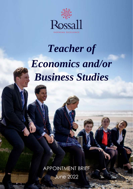

# *Teacher of Economics and/or Business Studies*

APPOINTMENT BRIEF June 2022

The Ware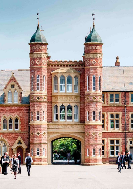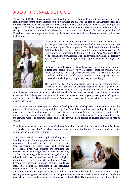## ABOUT ROSSALL SCHOOL

Founded in 1844, Rossall is a co-educational boarding and day school with an illustrious history and a clear strategic vision for the future. Situated on the Fylde Coast, the majestic backdrop of the Cumbrian Peaks and the Irish Sea provide a spectacular environment within which a community of some 800 boys and girls are inspired to fulfil their potential. The School provides a unique educational experience underpinned by a strong commitment to academic excellence and co-curricular participation. Successive generations of Rossallians have made a profound impact in fields as diverse as medicine, literature, music, politics and technology.



Academic results are superbly strong. The School has an IBDP average of 35 and this year over 60% of A level grades resulted in an A\* or A. Almost two thirds of our Upper Sixth progress to Top 20/Russell Group universities. Additionally, this year, three students won full sports scholarships to the US whilst others are proceeding to top universities in Paris, Milan and Hong Kong - to name but a few. Rossall is an inclusive school with an intellectually dynamic culture that encourages young people to embrace the highest of aspirations.

Regionally, Rossall has now reclaimed its place as one of the top performing independent schools in the North West. Perhaps, most importantly, it is a school community with a huge heart and this manifests itself in happy and confident children and a staff body committed to providing the very best context within which young people may live, learn and play.

The student roll has grown very significantly in recent years and this is reflective of the School's outstanding reputation both regionally and nationally. Student numbers are very healthy and the school has emerged

from the recent pandemic in a strong position financially. Such extensive expansion has resulted in a number of opportunities arising across a number of curricular areas and our ongoing development of signature programmes such the Broadway Performing Arts academy has opened up opportunities for exceptional educators to join us.

In 2019, the School embarked upon an ambitious development plan which placed a strong emphasis upon the provision of outstanding teaching and learning. The School is committed to ensuring that Rossall is recognised regionally and nationally as a progressive and aspirational School community committed to the professional development of all staff. The establishment of a thriving Leadership Academy is reflective of the growing number of aspirant educational practitioners who have decided to develop their careers here at Rossall.

This September, we have become an All-Steinway School and launched an International Piano Academy. The newly refurbished PrePrep School was opened at the end of the Summer Term and work will soon commence on our Science Building.

We strive to develop in our pupils a lifelong love of learning, a sense of moral purpose, and a belief in their own power to do good in the world. We prepare them to lead successful personal lives and productive professional lives. Our students are confident and compassionate. Increasingly they assume responsibility for their own learning and they are encouraged to be both critically reflective and resilient. We have the highest aspirations for our boys and girls and, as an IB World School, we endeavour to ensure that our pupils are intellectual risk-takers, open-minded and persuasive communicators. We desire for them to develop an



intrinsic interest in the subjects that they are studying and to view the formal curriculum as constituting a starting point as opposed to an end in itself. Opportunities for academic enrichment abound and pupils are able to benefit from involvement in activities such as the Model United Nations and subject specific societies.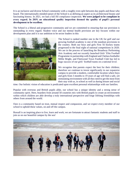It is an inclusive and diverse School community with a roughly even split between day pupils and those who board. The internationally-minded nature of the School is as defining an aspect as its architectural beauty and fascinating history. In 2021, we had a full ISI compliance inspection. **We were judged to be compliant in every regard. In 2019, an educational quality inspection deemed the quality of pupil's personal development to be excellent.**

The School is a liberal and progressive community and we are committed to ensuring that our provision is outstanding in every regard. Student voice and our mental health provision are key focuses within our development plan and it is our ambition to be sector leaders in this



The School is ranked number one in the UK for golf and our growing football academy is one of the standout provisions in the country. Both our boys and girls First XI hockey teams progressed to the final eight of national competitions in 2020. We are in the process of launching the Broadway Performing Arts Academy and our recently launched Girls' Elite Football Programme in partnership with England and Chelsea footballer Millie Bright, and Fleetwood Town Football Club has led to huge success of our girls' football teams on a national level.

We recognise that parents expect the best for their children; therefore we continue to invest significantly in our expansive campus to provide a modern, comfortable location where boys and girls from 3 months to 19 years of age will find a safe, yet stimulating environment with all they need to get the most from their stay with us, in school as well as during leisure and social

time. Our holistic vision of education is predicated upon excellent personal relationships with our families.

Popular with overseas and British pupils alike, our school has a unique identity and a strong sense of community spirit. Here, boarders from around 50 countries mix with British pupils to create an environment within which children are able develop a truly international perspective and forge lifelong friendships with others from around the world.

Ours is a community based on trust, mutual respect and compassion, and we expect every member of our school to uphold these values, on and off the campus.

Rossall is an inspiring place to live, learn and work; we are fortunate to attract fantastic students and staff to join us on our beautiful campus by the sea!

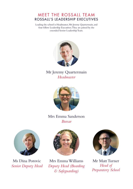## **MEET THE ROSSALL TEAM** ROSSALL'S LEADERSHIP EXECUTIVES

Leading the school is Headmaster, Mr Jeremy Quartermain, and four fellow Leadership Executives. They are joined by the extended Senior Leadership Team.



## Mr Jeremy Quartermain Headmaster



## Mrs Emma Sanderson **Bursar**



Ms Dina Porovic Senior Deputy Head



Mrs Emma Williams Deputy Head (Boarding & Safeguarding)



Mr Matt Turner Head of Preparatory School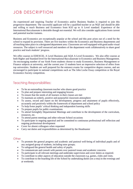## JOB DESCRIPTION

An experienced and inspiring Teacher of Economics and/or Business Studies is required to join this progressive department. The successful applicant will be a qualified teacher or an NQT and should be able and willing to teach Business and Economics from KS3 up to A Level standard. Experience of the International Baccalaureate is desirable though not essential. We will also consider applications from current and potential teacher trainees.

Business and Economics are exceptionally popular at the school and this post arises out of a need for the school to expand its provision. There are five teachers within the Economics and Business departments and all teaching takes place in a designated department area. Classrooms are well equipped with good audio visual resources. The subject is well resourced and members of the department work collaboratively to share good practice and track students' progress.

We offer courses in EDEXCEL A Level Business and AQA A Level Economics. We also offer courses at both Higher and Standard level for the International Baccalaureate in Economics and Business Management. An encouraging number of our Sixth Form students choose to study Economics, Business Management or Finance subjects at university, and the current year 13 students have an impressive selection of offers from top universities. Students are well prepared for the entrance exams for competitive degree courses, and are encouraged to participate in national competitions such as The John Locke Essay competition or the Royal Economics Society competition.

### Teaching Responsibilities:

- To be an outstanding classroom teacher who shares good practice
- To plan and prepare interesting and engaging lessons
- To ensure that the needs of all learners in their classes are met
- To maintain an orderly, positive and purposeful classroom atmosphere
- To assess, record and report on the development, progress and attainment of pupils effectively, accurately and positively within the framework of department and school policy
- To help foster pupils' critical thinking and independent learning skills
- To prepare pupils for public examinations
- To attend fortnightly Departmental Meetings and contribute to the development of the curriculum, resources, etc.
- To attend parent meetings and other relevant School occasions
- To participate in ongoing appraisal and be committed to continuous professional self reflection and ongoing professional development
- Cover for absent colleagues when requested
- Carry out duties and responsibilities as determined by the Headmaster

#### **Other**

- To promote the general progress and academic and pastoral well-being of individual pupils and of any assigned group of students, including tutor groups;
- To safeguard the general health and safety of pupils.
- To communicate and consult with parents over pastoral issues and academic concerns.
- To participate in all relevant meetings and undertake supervision and cover duties as required.
- To contribute to other aspects of education outside the classroom e.g. games, clubs and visits.
- To contribute to the boarding life of the School by undertaking duties (on a rota) in the evenings and at weekends.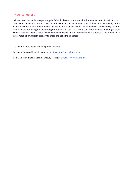#### Wider School Life

All teachers play a role in supporting the School's house system and all full time members of staff are tutors attached to one of the houses. Teachers are also expected to commit some of their time and energy to the extensive co-curricular programme in the evenings and on weekends, which includes a wide variety of clubs and activities reflecting the broad range of interests of our staff. Many staff offer activities relating to their subject area, but there is scope to be involved with sport, music, drama and the Combined Cadet Force and a great range of clubs from cookery to chess and debating to dance!

To find out more about this role please contact:

Mr Peter Detnon (Head of Economics) at p.detnon@rossall.org.uk or

Mrs Catherine Stacker (Senior Deputy Head) at c.stacker@rossall.org.uk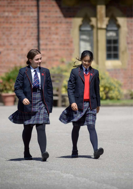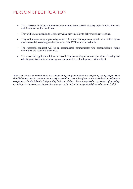## PERSON SPECIFICATION

- The successful candidate will be deeply committed to the success of every pupil studying Business and Economics within the School.
- They will be an outstanding practitioner with a proven ability to deliver excellent teaching.
- They will possess an appropriate degree and hold a PGCE or equivalent qualification. Whilst by no means essential, knowledge and experience of the IBDP would be desirable.
- The successful applicant will be an accomplished communicator who demonstrates a strong commitment to academic excellence.
- The successful applicant will have an excellent understanding of current educational thinking and adopt a proactive and innovative approach towards future developments in the subject.

*Applicants should be committed to the safeguarding and promotion of the welfare of young people. They should demonstrate this commitment in every aspect of this post. All staff are required to adhere to and ensure compliance with the School's Safeguarding Policy at all times. You are required to report any safeguarding or child protection concerns to your line manager or the School's Designated Safeguarding Lead (DSL).*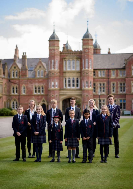